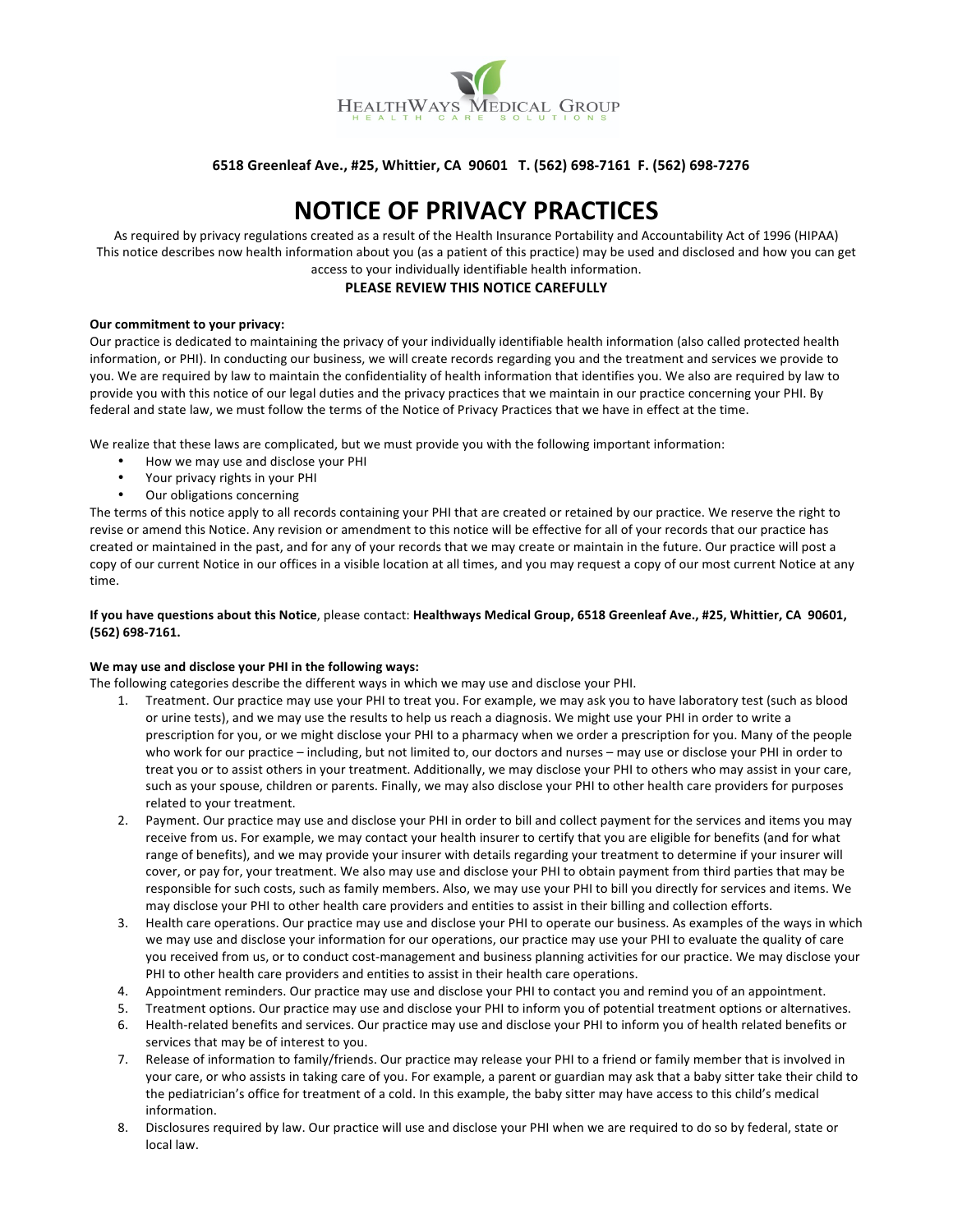

# 6518 Greenleaf Ave., #25, Whittier, CA 90601 T. (562) 698-7161 F. (562) 698-7276

# **NOTICE!OF!PRIVACY!PRACTICES**

As required by privacy regulations created as a result of the Health Insurance Portability and Accountability Act of 1996 (HIPAA) This notice describes now health information about you (as a patient of this practice) may be used and disclosed and how you can get access to your individually identifiable health information.

# **PLEASE REVIEW THIS NOTICE CAREFULLY**

#### **Our commitment to your privacy:**

Our practice is dedicated to maintaining the privacy of your individually identifiable health information (also called protected health information, or PHI). In conducting our business, we will create records regarding you and the treatment and services we provide to you. We are required by law to maintain the confidentiality of health information that identifies you. We also are required by law to provide you with this notice of our legal duties and the privacy practices that we maintain in our practice concerning your PHI. By federal and state law, we must follow the terms of the Notice of Privacy Practices that we have in effect at the time.

We realize that these laws are complicated, but we must provide you with the following important information:

- How we may use and disclose your PHI
- Your privacy rights in your PHI
- Our obligations concerning

The terms of this notice apply to all records containing your PHI that are created or retained by our practice. We reserve the right to revise or amend this Notice. Any revision or amendment to this notice will be effective for all of your records that our practice has created or maintained in the past, and for any of your records that we may create or maintain in the future. Our practice will post a copy of our current Notice in our offices in a visible location at all times, and you may request a copy of our most current Notice at any time.

## If you have questions about this Notice, please contact: Healthways Medical Group, 6518 Greenleaf Ave., #25, Whittier, CA 90601, **(562)!698=7161.**

## We may use and disclose your PHI in the following ways:

The following categories describe the different ways in which we may use and disclose your PHI.

- 1. Treatment. Our practice may use your PHI to treat you. For example, we may ask you to have laboratory test (such as blood or urine tests), and we may use the results to help us reach a diagnosis. We might use your PHI in order to write a prescription for you, or we might disclose your PHI to a pharmacy when we order a prescription for you. Many of the people who work for our practice – including, but not limited to, our doctors and nurses – may use or disclose your PHI in order to treat you or to assist others in your treatment. Additionally, we may disclose your PHI to others who may assist in your care, such as your spouse, children or parents. Finally, we may also disclose your PHI to other health care providers for purposes related to your treatment.
- 2. Payment. Our practice may use and disclose your PHI in order to bill and collect payment for the services and items you may receive from us. For example, we may contact your health insurer to certify that you are eligible for benefits (and for what range of benefits), and we may provide your insurer with details regarding your treatment to determine if your insurer will cover, or pay for, your treatment. We also may use and disclose your PHI to obtain payment from third parties that may be responsible for such costs, such as family members. Also, we may use your PHI to bill you directly for services and items. We may disclose your PHI to other health care providers and entities to assist in their billing and collection efforts.
- 3. Health care operations. Our practice may use and disclose your PHI to operate our business. As examples of the ways in which we may use and disclose your information for our operations, our practice may use your PHI to evaluate the quality of care you received from us, or to conduct cost-management and business planning activities for our practice. We may disclose your PHI to other health care providers and entities to assist in their health care operations.
- 4. Appointment reminders. Our practice may use and disclose your PHI to contact you and remind you of an appointment.
- 5. Treatment options. Our practice may use and disclose your PHI to inform you of potential treatment options or alternatives.
- 6. Health-related benefits and services. Our practice may use and disclose your PHI to inform you of health related benefits or services that may be of interest to you.
- 7. Release of information to family/friends. Our practice may release your PHI to a friend or family member that is involved in your care, or who assists in taking care of you. For example, a parent or guardian may ask that a baby sitter take their child to the pediatrician's office for treatment of a cold. In this example, the baby sitter may have access to this child's medical information.
- 8. Disclosures required by law. Our practice will use and disclose your PHI when we are required to do so by federal, state or local!law.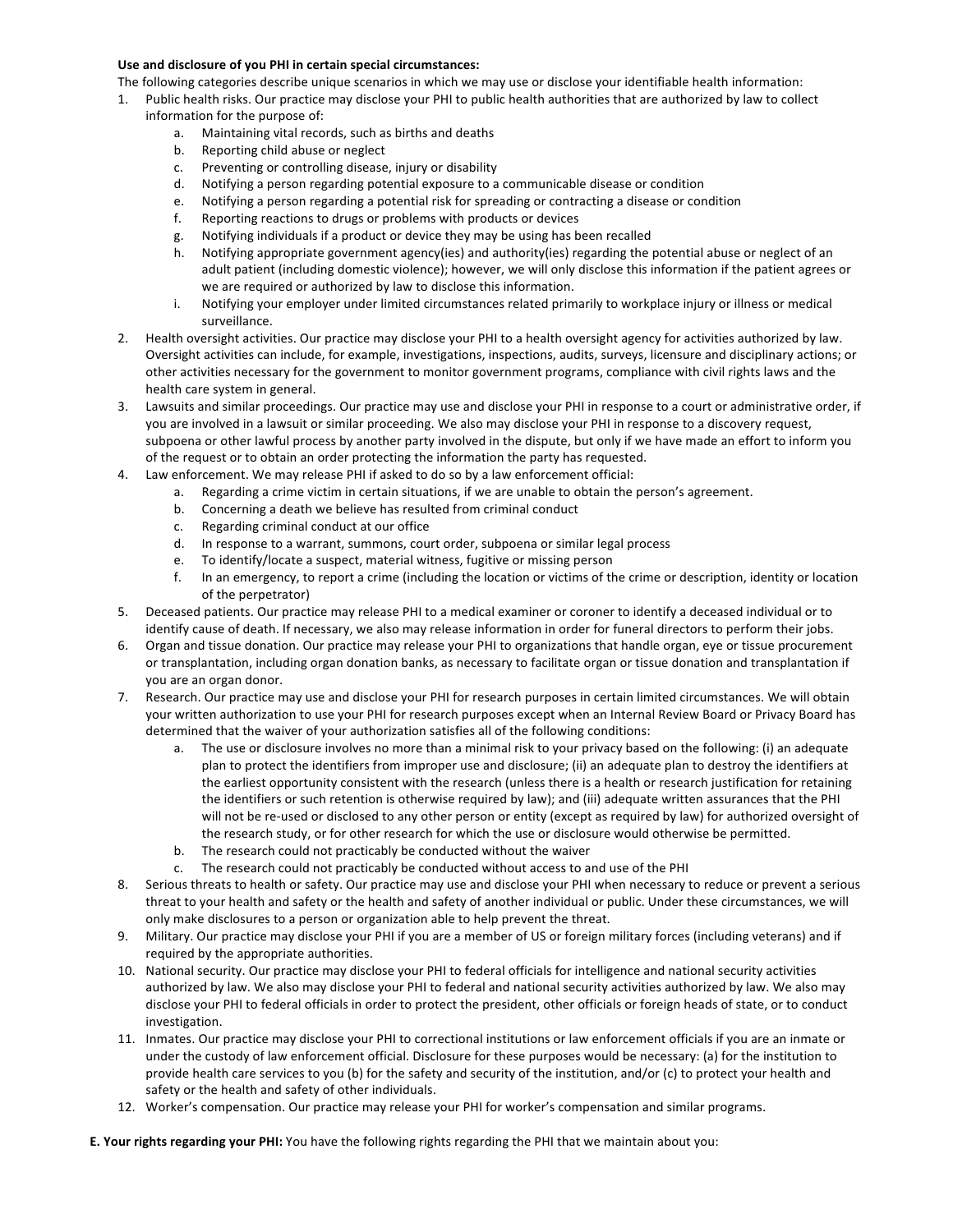## Use and disclosure of you PHI in certain special circumstances:

The following categories describe unique scenarios in which we may use or disclose your identifiable health information:

- 1. Public health risks. Our practice may disclose your PHI to public health authorities that are authorized by law to collect information for the purpose of:
	- a. Maintaining vital records, such as births and deaths
	- b. Reporting child abuse or neglect
	- c. Preventing or controlling disease, injury or disability
	- d. Notifying a person regarding potential exposure to a communicable disease or condition
	- e. Notifying a person regarding a potential risk for spreading or contracting a disease or condition
	- f. Reporting reactions to drugs or problems with products or devices
	- g. Notifying individuals if a product or device they may be using has been recalled
	- h. Notifying appropriate government agency(ies) and authority(ies) regarding the potential abuse or neglect of an adult patient (including domestic violence); however, we will only disclose this information if the patient agrees or we are required or authorized by law to disclose this information.
	- i. Notifying your employer under limited circumstances related primarily to workplace injury or illness or medical surveillance.
- 2. Health oversight activities. Our practice may disclose your PHI to a health oversight agency for activities authorized by law. Oversight activities can include, for example, investigations, inspections, audits, surveys, licensure and disciplinary actions; or other activities necessary for the government to monitor government programs, compliance with civil rights laws and the health care system in general.
- 3. Lawsuits and similar proceedings. Our practice may use and disclose your PHI in response to a court or administrative order, if you are involved in a lawsuit or similar proceeding. We also may disclose your PHI in response to a discovery request, subpoena or other lawful process by another party involved in the dispute, but only if we have made an effort to inform you of the request or to obtain an order protecting the information the party has requested.
- 4. Law enforcement. We may release PHI if asked to do so by a law enforcement official:
	- a. Regarding a crime victim in certain situations, if we are unable to obtain the person's agreement.
	- b. Concerning a death we believe has resulted from criminal conduct
	- c. Regarding criminal conduct at our office
	- d. In response to a warrant, summons, court order, subpoena or similar legal process
	- e. To identify/locate a suspect, material witness, fugitive or missing person
	- f. In an emergency, to report a crime (including the location or victims of the crime or description, identity or location of the perpetrator)
- 5. Deceased patients. Our practice may release PHI to a medical examiner or coroner to identify a deceased individual or to identify cause of death. If necessary, we also may release information in order for funeral directors to perform their jobs.
- 6. Organ and tissue donation. Our practice may release your PHI to organizations that handle organ, eye or tissue procurement or transplantation, including organ donation banks, as necessary to facilitate organ or tissue donation and transplantation if you are an organ donor.
- 7. Research. Our practice may use and disclose your PHI for research purposes in certain limited circumstances. We will obtain your written authorization to use your PHI for research purposes except when an Internal Review Board or Privacy Board has determined that the waiver of your authorization satisfies all of the following conditions:
	- a. The use or disclosure involves no more than a minimal risk to your privacy based on the following: (i) an adequate plan to protect the identifiers from improper use and disclosure; (ii) an adequate plan to destroy the identifiers at the earliest opportunity consistent with the research (unless there is a health or research justification for retaining the identifiers or such retention is otherwise required by law); and (iii) adequate written assurances that the PHI will not be re-used or disclosed to any other person or entity (except as required by law) for authorized oversight of the research study, or for other research for which the use or disclosure would otherwise be permitted.
	- b. The research could not practicably be conducted without the waiver
	- c. The research could not practicably be conducted without access to and use of the PHI
- 8. Serious threats to health or safety. Our practice may use and disclose your PHI when necessary to reduce or prevent a serious threat to your health and safety or the health and safety of another individual or public. Under these circumstances, we will only make disclosures to a person or organization able to help prevent the threat.
- 9. Military. Our practice may disclose your PHI if you are a member of US or foreign military forces (including veterans) and if required by the appropriate authorities.
- 10. National security. Our practice may disclose your PHI to federal officials for intelligence and national security activities authorized by law. We also may disclose your PHI to federal and national security activities authorized by law. We also may disclose your PHI to federal officials in order to protect the president, other officials or foreign heads of state, or to conduct investigation.
- 11. Inmates. Our practice may disclose your PHI to correctional institutions or law enforcement officials if you are an inmate or under the custody of law enforcement official. Disclosure for these purposes would be necessary: (a) for the institution to provide health care services to you (b) for the safety and security of the institution, and/or (c) to protect your health and safety or the health and safety of other individuals.
- 12. Worker's compensation. Our practice may release your PHI for worker's compensation and similar programs.

**E. Your rights regarding your PHI:** You have the following rights regarding the PHI that we maintain about you: